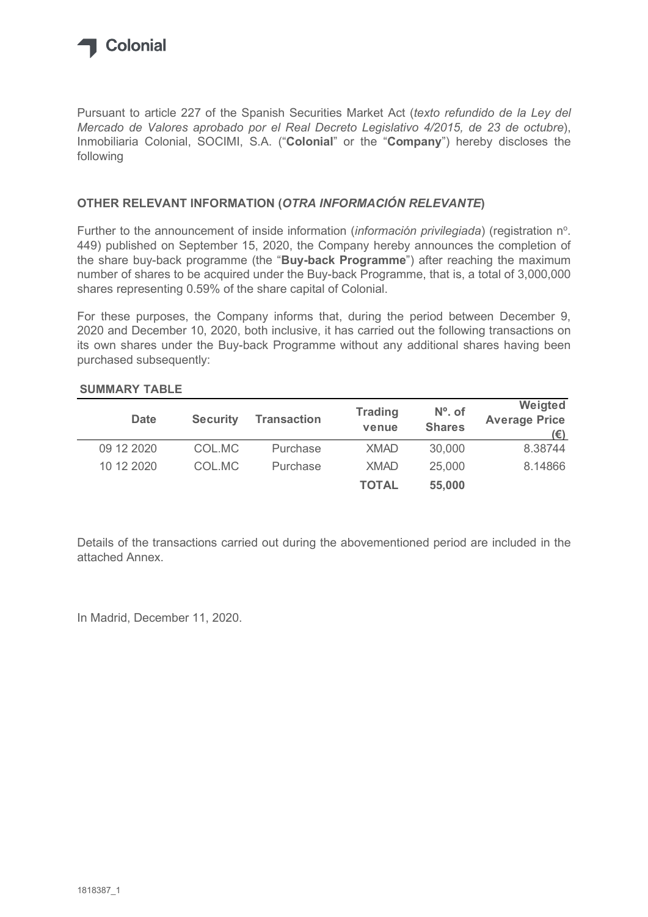

Pursuant to article 227 of the Spanish Securities Market Act (texto refundido de la Ley del Mercado de Valores aprobado por el Real Decreto Legislativo 4/2015, de 23 de octubre), Inmobiliaria Colonial, SOCIMI, S.A. ("Colonial" or the "Company") hereby discloses the following

## OTHER RELEVANT INFORMATION (OTRA INFORMACIÓN RELEVANTE)

## SUMMARY TABLE

| ollowing                                                                                                                     |                 |                                                                  |                         |                            | nmobiliaria Colonial, SOCIMI, S.A. ("Colonial" or the "Company") hereby discloses the                                                                                                                                                                                                                                                                                              |
|------------------------------------------------------------------------------------------------------------------------------|-----------------|------------------------------------------------------------------|-------------------------|----------------------------|------------------------------------------------------------------------------------------------------------------------------------------------------------------------------------------------------------------------------------------------------------------------------------------------------------------------------------------------------------------------------------|
|                                                                                                                              |                 | )THER RELEVANT INFORMATION ( <i>OTRA INFORMACIÓN RELEVANTE</i> ) |                         |                            |                                                                                                                                                                                                                                                                                                                                                                                    |
|                                                                                                                              |                 |                                                                  |                         |                            | Further to the announcement of inside information (información privilegiada) (registration nº.<br>49) published on September 15, 2020, the Company hereby announces the completion of<br>he share buy-back programme (the " <b>Buy-back Programme</b> ") after reaching the maximum<br>number of shares to be acquired under the Buy-back Programme, that is, a total of 3,000,000 |
|                                                                                                                              |                 |                                                                  |                         |                            | For these purposes, the Company informs that, during the period between December 9,<br>020 and December 10, 2020, both inclusive, it has carried out the following transactions on<br>ts own shares under the Buy-back Programme without any additional shares having been                                                                                                         |
|                                                                                                                              |                 |                                                                  |                         |                            |                                                                                                                                                                                                                                                                                                                                                                                    |
| hares representing 0.59% of the share capital of Colonial.<br>ourchased subsequently:<br><b>SUMMARY TABLE</b><br><b>Date</b> | <b>Security</b> | <b>Transaction</b>                                               | <b>Trading</b><br>venue | $No$ . of<br><b>Shares</b> | Weigted<br><b>Average Price</b>                                                                                                                                                                                                                                                                                                                                                    |
| 09 12 2020                                                                                                                   | COL.MC          | Purchase                                                         | <b>XMAD</b>             | 30,000                     | $(\epsilon)$<br>8.38744                                                                                                                                                                                                                                                                                                                                                            |
| 10 12 2020                                                                                                                   | COL.MC          | Purchase                                                         | <b>XMAD</b>             | 25,000                     | 8.14866                                                                                                                                                                                                                                                                                                                                                                            |

Details of the transactions carried out during the abovementioned period are included in the attached Annex.

In Madrid, December 11, 2020.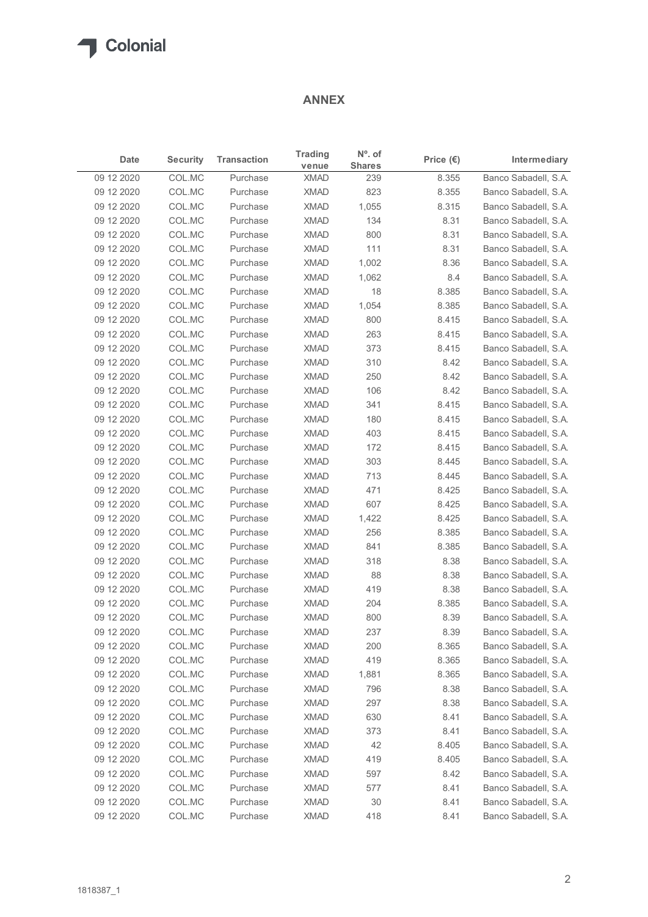## ANNEX

|                          |                  |                      |                         | <b>ANNEX</b>               |                    |                                              |
|--------------------------|------------------|----------------------|-------------------------|----------------------------|--------------------|----------------------------------------------|
| Date                     | <b>Security</b>  | <b>Transaction</b>   | <b>Trading</b><br>venue | $No$ . of<br><b>Shares</b> | Price $(\epsilon)$ | Intermediary                                 |
| 09 12 2020               | COL.MC           | Purchase             | <b>XMAD</b>             | 239                        | 8.355              | Banco Sabadell, S.A.                         |
| 09 12 2020               | COL.MC           | Purchase             | <b>XMAD</b>             | 823                        | 8.355              | Banco Sabadell, S.A.                         |
| 09 12 2020               | COL.MC           | Purchase             | <b>XMAD</b>             | 1,055                      | 8.315              | Banco Sabadell, S.A.                         |
| 09 12 2020               | COL.MC           | Purchase             | <b>XMAD</b>             | 134                        | 8.31               | Banco Sabadell, S.A.                         |
| 09 12 2020               | COL.MC           | Purchase             | <b>XMAD</b>             | 800                        | 8.31               | Banco Sabadell, S.A.                         |
| 09 12 2020               | COL.MC           | Purchase             | XMAD                    | 111                        | 8.31               | Banco Sabadell, S.A.                         |
| 09 12 2020               | COL.MC           | Purchase             | XMAD                    | 1,002                      | 8.36               | Banco Sabadell, S.A.                         |
| 09 12 2020               | COL.MC           | Purchase             | <b>XMAD</b>             | 1,062                      | 8.4                | Banco Sabadell, S.A.                         |
| 09 12 2020               | COL.MC           | Purchase             | <b>XMAD</b>             | 18                         | 8.385              | Banco Sabadell, S.A.                         |
| 09 12 2020               | COL.MC           | Purchase             | XMAD                    | 1,054                      | 8.385              | Banco Sabadell, S.A.                         |
| 09 12 2020               | COL.MC           | Purchase             | <b>XMAD</b>             | 800                        | 8.415              | Banco Sabadell, S.A.                         |
| 09 12 2020               | COL.MC           | Purchase<br>Purchase | <b>XMAD</b>             | 263                        | 8.415              | Banco Sabadell, S.A.                         |
| 09 12 2020               | COL.MC<br>COL.MC | Purchase             | <b>XMAD</b><br>XMAD     | 373<br>310                 | 8.415<br>8.42      | Banco Sabadell, S.A.<br>Banco Sabadell, S.A. |
| 09 12 2020<br>09 12 2020 | COL.MC           | Purchase             | <b>XMAD</b>             | 250                        | 8.42               | Banco Sabadell, S.A.                         |
| 09 12 2020               | COL.MC           | Purchase             | <b>XMAD</b>             | 106                        | 8.42               | Banco Sabadell, S.A.                         |
| 09 12 2020               | COL.MC           | Purchase             | <b>XMAD</b>             | 341                        | 8.415              | Banco Sabadell, S.A.                         |
| 09 12 2020               | COL.MC           | Purchase             | <b>XMAD</b>             | 180                        | 8.415              | Banco Sabadell, S.A.                         |
| 09 12 2020               | COL.MC           | Purchase             | <b>XMAD</b>             | 403                        | 8.415              | Banco Sabadell, S.A.                         |
| 09 12 2020               | COL.MC           | Purchase             | <b>XMAD</b>             | 172                        | 8.415              | Banco Sabadell, S.A.                         |
| 09 12 2020               | COL.MC           | Purchase             | <b>XMAD</b>             | 303                        | 8.445              | Banco Sabadell, S.A.                         |
| 09 12 2020               | COL.MC           | Purchase             | <b>XMAD</b>             | 713                        | 8.445              | Banco Sabadell, S.A.                         |
| 09 12 2020               | COL.MC           | Purchase             | <b>XMAD</b>             | 471                        | 8.425              | Banco Sabadell, S.A.                         |
| 09 12 2020               | COL.MC           | Purchase             | <b>XMAD</b>             | 607                        | 8.425              | Banco Sabadell, S.A.                         |
| 09 12 2020               | COL.MC           | Purchase             | <b>XMAD</b>             | 1,422                      | 8.425              | Banco Sabadell, S.A.                         |
| 09 12 2020               | COL.MC           | Purchase             | <b>XMAD</b>             | 256                        | 8.385              | Banco Sabadell, S.A.                         |
| 09 12 2020               | COL.MC           | Purchase             | <b>XMAD</b>             | 841                        | 8.385              | Banco Sabadell, S.A.                         |
| 09 12 2020               | COL.MC           | Purchase             | <b>XMAD</b>             | 318                        | 8.38               | Banco Sabadell, S.A.                         |
| 09 12 2020               | COL.MC           | Purchase             | <b>XMAD</b>             | 88                         | 8.38               | Banco Sabadell, S.A.                         |
| 09 12 2020               | COL.MC           | Purchase             | <b>XMAD</b>             | 419                        | 8.38               | Banco Sabadell, S.A.                         |
| 09 12 2020               | COL.MC           | Purchase             | <b>XMAD</b>             | 204                        | 8.385              | Banco Sabadell, S.A.                         |
| 09 12 2020               | COL.MC           | Purchase             | <b>XMAD</b>             | 800                        | 8.39               | Banco Sabadell, S.A.                         |
| 09 12 2020               | COL.MC           | Purchase             | <b>XMAD</b>             | 237                        | 8.39               | Banco Sabadell, S.A.                         |
| 09 12 2020               | COL.MC           | Purchase             | <b>XMAD</b>             | 200                        | 8.365              | Banco Sabadell, S.A.                         |
| 09 12 2020               | COL.MC           | Purchase             | XMAD                    | 419                        | 8.365              | Banco Sabadell, S.A.                         |
| 09 12 2020               | COL.MC           | Purchase             | <b>XMAD</b>             | 1,881                      | 8.365              | Banco Sabadell, S.A.                         |
| 09 12 2020               | COL.MC           | Purchase             | <b>XMAD</b>             | 796                        | 8.38               | Banco Sabadell, S.A.                         |
| 09 12 2020               | COL.MC           | Purchase             | <b>XMAD</b>             | 297                        | 8.38               | Banco Sabadell, S.A.                         |
| 09 12 2020               | COL.MC           | Purchase             | <b>XMAD</b>             | 630                        | 8.41               | Banco Sabadell, S.A.                         |
| 09 12 2020               | COL.MC           | Purchase             | <b>XMAD</b>             | 373                        | 8.41               | Banco Sabadell, S.A.                         |
| 09 12 2020               | COL.MC           | Purchase             | <b>XMAD</b>             | 42                         | 8.405              | Banco Sabadell, S.A.                         |
| 09 12 2020               | COL.MC           | Purchase             | <b>XMAD</b>             | 419                        | 8.405              | Banco Sabadell, S.A.                         |
| 09 12 2020               | COL.MC           | Purchase             | <b>XMAD</b>             | 597                        | 8.42               | Banco Sabadell, S.A.                         |
| 09 12 2020               | COL.MC           | Purchase             | <b>XMAD</b>             | 577                        | 8.41               | Banco Sabadell, S.A.                         |
| 09 12 2020               | COL.MC           | Purchase             | <b>XMAD</b>             | 30<br>418                  | 8.41               | Banco Sabadell, S.A.                         |
| 09 12 2020               | COL.MC           | Purchase             | <b>XMAD</b>             |                            | 8.41               | Banco Sabadell, S.A.                         |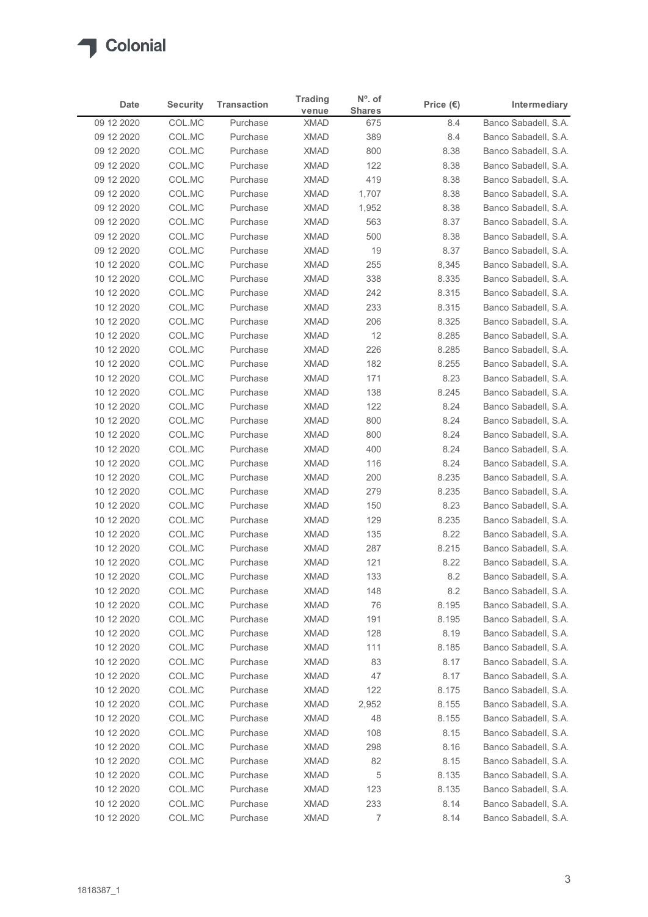

| Date<br>venue<br>Banco Sabadell, S.A.<br>09 12 2020<br>COL.MC<br><b>XMAD</b><br>8.4<br>Purchase<br>675<br>COL.MC<br><b>XMAD</b><br>389<br>Banco Sabadell, S.A.<br>09 12 2020<br>Purchase<br>8.4<br>COL.MC<br><b>XMAD</b><br>800<br>Banco Sabadell, S.A.<br>09 12 2020<br>Purchase<br>8.38<br><b>XMAD</b><br>122<br>09 12 2020<br>COL.MC<br>Purchase<br>8.38<br>Banco Sabadell, S.A.<br>COL.MC<br><b>XMAD</b><br>419<br>09 12 2020<br>Purchase<br>8.38<br>Banco Sabadell, S.A.<br>COL.MC<br><b>XMAD</b><br>Banco Sabadell, S.A.<br>09 12 2020<br>Purchase<br>1,707<br>8.38<br>09 12 2020<br>COL.MC<br><b>XMAD</b><br>Banco Sabadell, S.A.<br>Purchase<br>1,952<br>8.38<br>09 12 2020<br>COL.MC<br>Purchase<br><b>XMAD</b><br>563<br>8.37<br>Banco Sabadell, S.A.<br>COL.MC<br>500<br>09 12 2020<br><b>XMAD</b><br>8.38<br>Banco Sabadell, S.A.<br>Purchase<br>COL.MC<br><b>XMAD</b><br>19<br>09 12 2020<br>Purchase<br>8.37<br>Banco Sabadell, S.A.<br>COL.MC<br><b>XMAD</b><br>255<br>10 12 2020<br>Purchase<br>8,345<br>Banco Sabadell, S.A.<br>COL.MC<br><b>XMAD</b><br>338<br>8.335<br>Banco Sabadell, S.A.<br>10 12 2020<br>Purchase<br><b>XMAD</b><br>242<br>8.315<br>10 12 2020<br>COL.MC<br>Purchase<br>Banco Sabadell, S.A.<br>233<br>10 12 2020<br>COL.MC<br>XMAD<br>8.315<br>Banco Sabadell, S.A.<br>Purchase<br>10 12 2020<br><b>XMAD</b><br>8.325<br>Banco Sabadell, S.A.<br>COL.MC<br>Purchase<br>206<br><b>XMAD</b><br>12<br>8.285<br>10 12 2020<br>COL.MC<br>Purchase<br>Banco Sabadell, S.A.<br>XMAD<br>226<br>8.285<br>10 12 2020<br>COL.MC<br>Purchase<br>Banco Sabadell, S.A.<br>XMAD<br>8.255<br>10 12 2020<br>COL.MC<br>Purchase<br>182<br>Banco Sabadell, S.A.<br><b>XMAD</b><br>8.23<br>Banco Sabadell, S.A.<br>10 12 2020<br>COL.MC<br>Purchase<br>171<br>10 12 2020<br>COL.MC<br>Purchase<br><b>XMAD</b><br>138<br>8.245<br>Banco Sabadell, S.A.<br>122<br>8.24<br>10 12 2020<br>COL.MC<br><b>XMAD</b><br>Banco Sabadell, S.A.<br>Purchase<br>10 12 2020<br>COL.MC<br>XMAD<br>800<br>8.24<br>Purchase<br>Banco Sabadell, S.A.<br>10 12 2020<br>COL.MC<br>Purchase<br><b>XMAD</b><br>800<br>8.24<br>Banco Sabadell, S.A.<br>10 12 2020<br>COL.MC<br>Purchase<br><b>XMAD</b><br>400<br>8.24<br>Banco Sabadell, S.A.<br>COL.MC<br>XMAD<br>8.24<br>10 12 2020<br>Purchase<br>116<br>Banco Sabadell, S.A.<br>COL.MC<br><b>XMAD</b><br>200<br>8.235<br>10 12 2020<br>Purchase<br>Banco Sabadell, S.A.<br>279<br>10 12 2020<br>COL.MC<br><b>XMAD</b><br>8.235<br>Banco Sabadell, S.A.<br>Purchase<br><b>XMAD</b><br>8.23<br>10 12 2020<br>COL.MC<br>Purchase<br>150<br>Banco Sabadell, S.A.<br><b>XMAD</b><br>129<br>8.235<br>Banco Sabadell, S.A.<br>10 12 2020<br>COL.MC<br>Purchase<br>COL.MC<br><b>XMAD</b><br>10 12 2020<br>Purchase<br>135<br>8.22<br>Banco Sabadell, S.A.<br><b>XMAD</b><br>10 12 2020<br>COL.MC<br>Purchase<br>287<br>8.215<br>Banco Sabadell, S.A.<br>121<br>8.22<br>10 12 2020<br>COL.MC<br>Purchase<br><b>XMAD</b><br>Banco Sabadell, S.A.<br><b>XMAD</b><br>133<br>10 12 2020<br>COL.MC<br>Purchase<br>8.2<br>Banco Sabadell, S.A.<br><b>XMAD</b><br>148<br>8.2<br>10 12 2020<br>COL.MC<br>Purchase<br>Banco Sabadell, S.A.<br>8.195<br>10 12 2020<br>COL.MC<br>Purchase<br><b>XMAD</b><br>76<br>Banco Sabadell, S.A.<br>10 12 2020<br>COL.MC<br>Purchase<br>XMAD<br>191<br>8.195<br>Banco Sabadell, S.A.<br>COL.MC<br>10 12 2020<br>Purchase<br><b>XMAD</b><br>128<br>8.19<br>Banco Sabadell, S.A.<br><b>XMAD</b><br>8.185<br>10 12 2020<br>COL.MC<br>111<br>Banco Sabadell, S.A.<br>Purchase<br><b>XMAD</b><br>83<br>8.17<br>10 12 2020<br>COL.MC<br>Purchase<br>Banco Sabadell, S.A.<br>XMAD<br>47<br>10 12 2020<br>COL.MC<br>Purchase<br>8.17<br>Banco Sabadell, S.A.<br>COL.MC<br><b>XMAD</b><br>8.175<br>Banco Sabadell, S.A.<br>10 12 2020<br>Purchase<br>122<br>10 12 2020<br>COL.MC<br>Purchase<br><b>XMAD</b><br>2,952<br>8.155<br>Banco Sabadell, S.A.<br>48<br>10 12 2020<br>COL.MC<br>Purchase<br><b>XMAD</b><br>8.155<br>Banco Sabadell, S.A.<br>108<br>8.15<br>10 12 2020<br>COL.MC<br><b>XMAD</b><br>Banco Sabadell, S.A.<br>Purchase<br>10 12 2020<br><b>XMAD</b><br>298<br>COL.MC<br>Purchase<br>8.16<br>Banco Sabadell, S.A.<br><b>XMAD</b><br>82<br>10 12 2020<br>COL.MC<br>Purchase<br>8.15<br>Banco Sabadell, S.A.<br>8.135<br>10 12 2020<br>COL.MC<br>Purchase<br><b>XMAD</b><br>5<br>Banco Sabadell, S.A.<br><b>XMAD</b><br>123<br>8.135<br>10 12 2020<br>COL.MC<br>Purchase<br>Banco Sabadell, S.A.<br>COL.MC<br>233<br>8.14<br>10 12 2020<br>Purchase<br><b>XMAD</b><br>Banco Sabadell, S.A.<br>$\overline{7}$<br>10 12 2020<br>COL.MC<br>XMAD<br>8.14<br>Banco Sabadell, S.A.<br>Purchase | <b>Security</b> | <b>Transaction</b> | <b>Trading</b> | $N^{\circ}$ . of | Price $(\epsilon)$ | Intermediary |
|--------------------------------------------------------------------------------------------------------------------------------------------------------------------------------------------------------------------------------------------------------------------------------------------------------------------------------------------------------------------------------------------------------------------------------------------------------------------------------------------------------------------------------------------------------------------------------------------------------------------------------------------------------------------------------------------------------------------------------------------------------------------------------------------------------------------------------------------------------------------------------------------------------------------------------------------------------------------------------------------------------------------------------------------------------------------------------------------------------------------------------------------------------------------------------------------------------------------------------------------------------------------------------------------------------------------------------------------------------------------------------------------------------------------------------------------------------------------------------------------------------------------------------------------------------------------------------------------------------------------------------------------------------------------------------------------------------------------------------------------------------------------------------------------------------------------------------------------------------------------------------------------------------------------------------------------------------------------------------------------------------------------------------------------------------------------------------------------------------------------------------------------------------------------------------------------------------------------------------------------------------------------------------------------------------------------------------------------------------------------------------------------------------------------------------------------------------------------------------------------------------------------------------------------------------------------------------------------------------------------------------------------------------------------------------------------------------------------------------------------------------------------------------------------------------------------------------------------------------------------------------------------------------------------------------------------------------------------------------------------------------------------------------------------------------------------------------------------------------------------------------------------------------------------------------------------------------------------------------------------------------------------------------------------------------------------------------------------------------------------------------------------------------------------------------------------------------------------------------------------------------------------------------------------------------------------------------------------------------------------------------------------------------------------------------------------------------------------------------------------------------------------------------------------------------------------------------------------------------------------------------------------------------------------------------------------------------------------------------------------------------------------------------------------------------------------------------------------------------------------------------------------------------------------------------------------------------------------------------------------------------------------------------------------------------------------------------------------------------------------------------------------------------------------------------------------------------------------------------------------------------------------------------------------------------------------------------------------------------------------------------------------------------------------|-----------------|--------------------|----------------|------------------|--------------------|--------------|
|                                                                                                                                                                                                                                                                                                                                                                                                                                                                                                                                                                                                                                                                                                                                                                                                                                                                                                                                                                                                                                                                                                                                                                                                                                                                                                                                                                                                                                                                                                                                                                                                                                                                                                                                                                                                                                                                                                                                                                                                                                                                                                                                                                                                                                                                                                                                                                                                                                                                                                                                                                                                                                                                                                                                                                                                                                                                                                                                                                                                                                                                                                                                                                                                                                                                                                                                                                                                                                                                                                                                                                                                                                                                                                                                                                                                                                                                                                                                                                                                                                                                                                                                                                                                                                                                                                                                                                                                                                                                                                                                                                                                                                                                    |                 |                    |                | <b>Shares</b>    |                    |              |
|                                                                                                                                                                                                                                                                                                                                                                                                                                                                                                                                                                                                                                                                                                                                                                                                                                                                                                                                                                                                                                                                                                                                                                                                                                                                                                                                                                                                                                                                                                                                                                                                                                                                                                                                                                                                                                                                                                                                                                                                                                                                                                                                                                                                                                                                                                                                                                                                                                                                                                                                                                                                                                                                                                                                                                                                                                                                                                                                                                                                                                                                                                                                                                                                                                                                                                                                                                                                                                                                                                                                                                                                                                                                                                                                                                                                                                                                                                                                                                                                                                                                                                                                                                                                                                                                                                                                                                                                                                                                                                                                                                                                                                                                    |                 |                    |                |                  |                    |              |
|                                                                                                                                                                                                                                                                                                                                                                                                                                                                                                                                                                                                                                                                                                                                                                                                                                                                                                                                                                                                                                                                                                                                                                                                                                                                                                                                                                                                                                                                                                                                                                                                                                                                                                                                                                                                                                                                                                                                                                                                                                                                                                                                                                                                                                                                                                                                                                                                                                                                                                                                                                                                                                                                                                                                                                                                                                                                                                                                                                                                                                                                                                                                                                                                                                                                                                                                                                                                                                                                                                                                                                                                                                                                                                                                                                                                                                                                                                                                                                                                                                                                                                                                                                                                                                                                                                                                                                                                                                                                                                                                                                                                                                                                    |                 |                    |                |                  |                    |              |
|                                                                                                                                                                                                                                                                                                                                                                                                                                                                                                                                                                                                                                                                                                                                                                                                                                                                                                                                                                                                                                                                                                                                                                                                                                                                                                                                                                                                                                                                                                                                                                                                                                                                                                                                                                                                                                                                                                                                                                                                                                                                                                                                                                                                                                                                                                                                                                                                                                                                                                                                                                                                                                                                                                                                                                                                                                                                                                                                                                                                                                                                                                                                                                                                                                                                                                                                                                                                                                                                                                                                                                                                                                                                                                                                                                                                                                                                                                                                                                                                                                                                                                                                                                                                                                                                                                                                                                                                                                                                                                                                                                                                                                                                    |                 |                    |                |                  |                    |              |
|                                                                                                                                                                                                                                                                                                                                                                                                                                                                                                                                                                                                                                                                                                                                                                                                                                                                                                                                                                                                                                                                                                                                                                                                                                                                                                                                                                                                                                                                                                                                                                                                                                                                                                                                                                                                                                                                                                                                                                                                                                                                                                                                                                                                                                                                                                                                                                                                                                                                                                                                                                                                                                                                                                                                                                                                                                                                                                                                                                                                                                                                                                                                                                                                                                                                                                                                                                                                                                                                                                                                                                                                                                                                                                                                                                                                                                                                                                                                                                                                                                                                                                                                                                                                                                                                                                                                                                                                                                                                                                                                                                                                                                                                    |                 |                    |                |                  |                    |              |
|                                                                                                                                                                                                                                                                                                                                                                                                                                                                                                                                                                                                                                                                                                                                                                                                                                                                                                                                                                                                                                                                                                                                                                                                                                                                                                                                                                                                                                                                                                                                                                                                                                                                                                                                                                                                                                                                                                                                                                                                                                                                                                                                                                                                                                                                                                                                                                                                                                                                                                                                                                                                                                                                                                                                                                                                                                                                                                                                                                                                                                                                                                                                                                                                                                                                                                                                                                                                                                                                                                                                                                                                                                                                                                                                                                                                                                                                                                                                                                                                                                                                                                                                                                                                                                                                                                                                                                                                                                                                                                                                                                                                                                                                    |                 |                    |                |                  |                    |              |
|                                                                                                                                                                                                                                                                                                                                                                                                                                                                                                                                                                                                                                                                                                                                                                                                                                                                                                                                                                                                                                                                                                                                                                                                                                                                                                                                                                                                                                                                                                                                                                                                                                                                                                                                                                                                                                                                                                                                                                                                                                                                                                                                                                                                                                                                                                                                                                                                                                                                                                                                                                                                                                                                                                                                                                                                                                                                                                                                                                                                                                                                                                                                                                                                                                                                                                                                                                                                                                                                                                                                                                                                                                                                                                                                                                                                                                                                                                                                                                                                                                                                                                                                                                                                                                                                                                                                                                                                                                                                                                                                                                                                                                                                    |                 |                    |                |                  |                    |              |
|                                                                                                                                                                                                                                                                                                                                                                                                                                                                                                                                                                                                                                                                                                                                                                                                                                                                                                                                                                                                                                                                                                                                                                                                                                                                                                                                                                                                                                                                                                                                                                                                                                                                                                                                                                                                                                                                                                                                                                                                                                                                                                                                                                                                                                                                                                                                                                                                                                                                                                                                                                                                                                                                                                                                                                                                                                                                                                                                                                                                                                                                                                                                                                                                                                                                                                                                                                                                                                                                                                                                                                                                                                                                                                                                                                                                                                                                                                                                                                                                                                                                                                                                                                                                                                                                                                                                                                                                                                                                                                                                                                                                                                                                    |                 |                    |                |                  |                    |              |
|                                                                                                                                                                                                                                                                                                                                                                                                                                                                                                                                                                                                                                                                                                                                                                                                                                                                                                                                                                                                                                                                                                                                                                                                                                                                                                                                                                                                                                                                                                                                                                                                                                                                                                                                                                                                                                                                                                                                                                                                                                                                                                                                                                                                                                                                                                                                                                                                                                                                                                                                                                                                                                                                                                                                                                                                                                                                                                                                                                                                                                                                                                                                                                                                                                                                                                                                                                                                                                                                                                                                                                                                                                                                                                                                                                                                                                                                                                                                                                                                                                                                                                                                                                                                                                                                                                                                                                                                                                                                                                                                                                                                                                                                    |                 |                    |                |                  |                    |              |
|                                                                                                                                                                                                                                                                                                                                                                                                                                                                                                                                                                                                                                                                                                                                                                                                                                                                                                                                                                                                                                                                                                                                                                                                                                                                                                                                                                                                                                                                                                                                                                                                                                                                                                                                                                                                                                                                                                                                                                                                                                                                                                                                                                                                                                                                                                                                                                                                                                                                                                                                                                                                                                                                                                                                                                                                                                                                                                                                                                                                                                                                                                                                                                                                                                                                                                                                                                                                                                                                                                                                                                                                                                                                                                                                                                                                                                                                                                                                                                                                                                                                                                                                                                                                                                                                                                                                                                                                                                                                                                                                                                                                                                                                    |                 |                    |                |                  |                    |              |
|                                                                                                                                                                                                                                                                                                                                                                                                                                                                                                                                                                                                                                                                                                                                                                                                                                                                                                                                                                                                                                                                                                                                                                                                                                                                                                                                                                                                                                                                                                                                                                                                                                                                                                                                                                                                                                                                                                                                                                                                                                                                                                                                                                                                                                                                                                                                                                                                                                                                                                                                                                                                                                                                                                                                                                                                                                                                                                                                                                                                                                                                                                                                                                                                                                                                                                                                                                                                                                                                                                                                                                                                                                                                                                                                                                                                                                                                                                                                                                                                                                                                                                                                                                                                                                                                                                                                                                                                                                                                                                                                                                                                                                                                    |                 |                    |                |                  |                    |              |
|                                                                                                                                                                                                                                                                                                                                                                                                                                                                                                                                                                                                                                                                                                                                                                                                                                                                                                                                                                                                                                                                                                                                                                                                                                                                                                                                                                                                                                                                                                                                                                                                                                                                                                                                                                                                                                                                                                                                                                                                                                                                                                                                                                                                                                                                                                                                                                                                                                                                                                                                                                                                                                                                                                                                                                                                                                                                                                                                                                                                                                                                                                                                                                                                                                                                                                                                                                                                                                                                                                                                                                                                                                                                                                                                                                                                                                                                                                                                                                                                                                                                                                                                                                                                                                                                                                                                                                                                                                                                                                                                                                                                                                                                    |                 |                    |                |                  |                    |              |
|                                                                                                                                                                                                                                                                                                                                                                                                                                                                                                                                                                                                                                                                                                                                                                                                                                                                                                                                                                                                                                                                                                                                                                                                                                                                                                                                                                                                                                                                                                                                                                                                                                                                                                                                                                                                                                                                                                                                                                                                                                                                                                                                                                                                                                                                                                                                                                                                                                                                                                                                                                                                                                                                                                                                                                                                                                                                                                                                                                                                                                                                                                                                                                                                                                                                                                                                                                                                                                                                                                                                                                                                                                                                                                                                                                                                                                                                                                                                                                                                                                                                                                                                                                                                                                                                                                                                                                                                                                                                                                                                                                                                                                                                    |                 |                    |                |                  |                    |              |
|                                                                                                                                                                                                                                                                                                                                                                                                                                                                                                                                                                                                                                                                                                                                                                                                                                                                                                                                                                                                                                                                                                                                                                                                                                                                                                                                                                                                                                                                                                                                                                                                                                                                                                                                                                                                                                                                                                                                                                                                                                                                                                                                                                                                                                                                                                                                                                                                                                                                                                                                                                                                                                                                                                                                                                                                                                                                                                                                                                                                                                                                                                                                                                                                                                                                                                                                                                                                                                                                                                                                                                                                                                                                                                                                                                                                                                                                                                                                                                                                                                                                                                                                                                                                                                                                                                                                                                                                                                                                                                                                                                                                                                                                    |                 |                    |                |                  |                    |              |
|                                                                                                                                                                                                                                                                                                                                                                                                                                                                                                                                                                                                                                                                                                                                                                                                                                                                                                                                                                                                                                                                                                                                                                                                                                                                                                                                                                                                                                                                                                                                                                                                                                                                                                                                                                                                                                                                                                                                                                                                                                                                                                                                                                                                                                                                                                                                                                                                                                                                                                                                                                                                                                                                                                                                                                                                                                                                                                                                                                                                                                                                                                                                                                                                                                                                                                                                                                                                                                                                                                                                                                                                                                                                                                                                                                                                                                                                                                                                                                                                                                                                                                                                                                                                                                                                                                                                                                                                                                                                                                                                                                                                                                                                    |                 |                    |                |                  |                    |              |
|                                                                                                                                                                                                                                                                                                                                                                                                                                                                                                                                                                                                                                                                                                                                                                                                                                                                                                                                                                                                                                                                                                                                                                                                                                                                                                                                                                                                                                                                                                                                                                                                                                                                                                                                                                                                                                                                                                                                                                                                                                                                                                                                                                                                                                                                                                                                                                                                                                                                                                                                                                                                                                                                                                                                                                                                                                                                                                                                                                                                                                                                                                                                                                                                                                                                                                                                                                                                                                                                                                                                                                                                                                                                                                                                                                                                                                                                                                                                                                                                                                                                                                                                                                                                                                                                                                                                                                                                                                                                                                                                                                                                                                                                    |                 |                    |                |                  |                    |              |
|                                                                                                                                                                                                                                                                                                                                                                                                                                                                                                                                                                                                                                                                                                                                                                                                                                                                                                                                                                                                                                                                                                                                                                                                                                                                                                                                                                                                                                                                                                                                                                                                                                                                                                                                                                                                                                                                                                                                                                                                                                                                                                                                                                                                                                                                                                                                                                                                                                                                                                                                                                                                                                                                                                                                                                                                                                                                                                                                                                                                                                                                                                                                                                                                                                                                                                                                                                                                                                                                                                                                                                                                                                                                                                                                                                                                                                                                                                                                                                                                                                                                                                                                                                                                                                                                                                                                                                                                                                                                                                                                                                                                                                                                    |                 |                    |                |                  |                    |              |
|                                                                                                                                                                                                                                                                                                                                                                                                                                                                                                                                                                                                                                                                                                                                                                                                                                                                                                                                                                                                                                                                                                                                                                                                                                                                                                                                                                                                                                                                                                                                                                                                                                                                                                                                                                                                                                                                                                                                                                                                                                                                                                                                                                                                                                                                                                                                                                                                                                                                                                                                                                                                                                                                                                                                                                                                                                                                                                                                                                                                                                                                                                                                                                                                                                                                                                                                                                                                                                                                                                                                                                                                                                                                                                                                                                                                                                                                                                                                                                                                                                                                                                                                                                                                                                                                                                                                                                                                                                                                                                                                                                                                                                                                    |                 |                    |                |                  |                    |              |
|                                                                                                                                                                                                                                                                                                                                                                                                                                                                                                                                                                                                                                                                                                                                                                                                                                                                                                                                                                                                                                                                                                                                                                                                                                                                                                                                                                                                                                                                                                                                                                                                                                                                                                                                                                                                                                                                                                                                                                                                                                                                                                                                                                                                                                                                                                                                                                                                                                                                                                                                                                                                                                                                                                                                                                                                                                                                                                                                                                                                                                                                                                                                                                                                                                                                                                                                                                                                                                                                                                                                                                                                                                                                                                                                                                                                                                                                                                                                                                                                                                                                                                                                                                                                                                                                                                                                                                                                                                                                                                                                                                                                                                                                    |                 |                    |                |                  |                    |              |
|                                                                                                                                                                                                                                                                                                                                                                                                                                                                                                                                                                                                                                                                                                                                                                                                                                                                                                                                                                                                                                                                                                                                                                                                                                                                                                                                                                                                                                                                                                                                                                                                                                                                                                                                                                                                                                                                                                                                                                                                                                                                                                                                                                                                                                                                                                                                                                                                                                                                                                                                                                                                                                                                                                                                                                                                                                                                                                                                                                                                                                                                                                                                                                                                                                                                                                                                                                                                                                                                                                                                                                                                                                                                                                                                                                                                                                                                                                                                                                                                                                                                                                                                                                                                                                                                                                                                                                                                                                                                                                                                                                                                                                                                    |                 |                    |                |                  |                    |              |
|                                                                                                                                                                                                                                                                                                                                                                                                                                                                                                                                                                                                                                                                                                                                                                                                                                                                                                                                                                                                                                                                                                                                                                                                                                                                                                                                                                                                                                                                                                                                                                                                                                                                                                                                                                                                                                                                                                                                                                                                                                                                                                                                                                                                                                                                                                                                                                                                                                                                                                                                                                                                                                                                                                                                                                                                                                                                                                                                                                                                                                                                                                                                                                                                                                                                                                                                                                                                                                                                                                                                                                                                                                                                                                                                                                                                                                                                                                                                                                                                                                                                                                                                                                                                                                                                                                                                                                                                                                                                                                                                                                                                                                                                    |                 |                    |                |                  |                    |              |
|                                                                                                                                                                                                                                                                                                                                                                                                                                                                                                                                                                                                                                                                                                                                                                                                                                                                                                                                                                                                                                                                                                                                                                                                                                                                                                                                                                                                                                                                                                                                                                                                                                                                                                                                                                                                                                                                                                                                                                                                                                                                                                                                                                                                                                                                                                                                                                                                                                                                                                                                                                                                                                                                                                                                                                                                                                                                                                                                                                                                                                                                                                                                                                                                                                                                                                                                                                                                                                                                                                                                                                                                                                                                                                                                                                                                                                                                                                                                                                                                                                                                                                                                                                                                                                                                                                                                                                                                                                                                                                                                                                                                                                                                    |                 |                    |                |                  |                    |              |
|                                                                                                                                                                                                                                                                                                                                                                                                                                                                                                                                                                                                                                                                                                                                                                                                                                                                                                                                                                                                                                                                                                                                                                                                                                                                                                                                                                                                                                                                                                                                                                                                                                                                                                                                                                                                                                                                                                                                                                                                                                                                                                                                                                                                                                                                                                                                                                                                                                                                                                                                                                                                                                                                                                                                                                                                                                                                                                                                                                                                                                                                                                                                                                                                                                                                                                                                                                                                                                                                                                                                                                                                                                                                                                                                                                                                                                                                                                                                                                                                                                                                                                                                                                                                                                                                                                                                                                                                                                                                                                                                                                                                                                                                    |                 |                    |                |                  |                    |              |
|                                                                                                                                                                                                                                                                                                                                                                                                                                                                                                                                                                                                                                                                                                                                                                                                                                                                                                                                                                                                                                                                                                                                                                                                                                                                                                                                                                                                                                                                                                                                                                                                                                                                                                                                                                                                                                                                                                                                                                                                                                                                                                                                                                                                                                                                                                                                                                                                                                                                                                                                                                                                                                                                                                                                                                                                                                                                                                                                                                                                                                                                                                                                                                                                                                                                                                                                                                                                                                                                                                                                                                                                                                                                                                                                                                                                                                                                                                                                                                                                                                                                                                                                                                                                                                                                                                                                                                                                                                                                                                                                                                                                                                                                    |                 |                    |                |                  |                    |              |
|                                                                                                                                                                                                                                                                                                                                                                                                                                                                                                                                                                                                                                                                                                                                                                                                                                                                                                                                                                                                                                                                                                                                                                                                                                                                                                                                                                                                                                                                                                                                                                                                                                                                                                                                                                                                                                                                                                                                                                                                                                                                                                                                                                                                                                                                                                                                                                                                                                                                                                                                                                                                                                                                                                                                                                                                                                                                                                                                                                                                                                                                                                                                                                                                                                                                                                                                                                                                                                                                                                                                                                                                                                                                                                                                                                                                                                                                                                                                                                                                                                                                                                                                                                                                                                                                                                                                                                                                                                                                                                                                                                                                                                                                    |                 |                    |                |                  |                    |              |
|                                                                                                                                                                                                                                                                                                                                                                                                                                                                                                                                                                                                                                                                                                                                                                                                                                                                                                                                                                                                                                                                                                                                                                                                                                                                                                                                                                                                                                                                                                                                                                                                                                                                                                                                                                                                                                                                                                                                                                                                                                                                                                                                                                                                                                                                                                                                                                                                                                                                                                                                                                                                                                                                                                                                                                                                                                                                                                                                                                                                                                                                                                                                                                                                                                                                                                                                                                                                                                                                                                                                                                                                                                                                                                                                                                                                                                                                                                                                                                                                                                                                                                                                                                                                                                                                                                                                                                                                                                                                                                                                                                                                                                                                    |                 |                    |                |                  |                    |              |
|                                                                                                                                                                                                                                                                                                                                                                                                                                                                                                                                                                                                                                                                                                                                                                                                                                                                                                                                                                                                                                                                                                                                                                                                                                                                                                                                                                                                                                                                                                                                                                                                                                                                                                                                                                                                                                                                                                                                                                                                                                                                                                                                                                                                                                                                                                                                                                                                                                                                                                                                                                                                                                                                                                                                                                                                                                                                                                                                                                                                                                                                                                                                                                                                                                                                                                                                                                                                                                                                                                                                                                                                                                                                                                                                                                                                                                                                                                                                                                                                                                                                                                                                                                                                                                                                                                                                                                                                                                                                                                                                                                                                                                                                    |                 |                    |                |                  |                    |              |
|                                                                                                                                                                                                                                                                                                                                                                                                                                                                                                                                                                                                                                                                                                                                                                                                                                                                                                                                                                                                                                                                                                                                                                                                                                                                                                                                                                                                                                                                                                                                                                                                                                                                                                                                                                                                                                                                                                                                                                                                                                                                                                                                                                                                                                                                                                                                                                                                                                                                                                                                                                                                                                                                                                                                                                                                                                                                                                                                                                                                                                                                                                                                                                                                                                                                                                                                                                                                                                                                                                                                                                                                                                                                                                                                                                                                                                                                                                                                                                                                                                                                                                                                                                                                                                                                                                                                                                                                                                                                                                                                                                                                                                                                    |                 |                    |                |                  |                    |              |
|                                                                                                                                                                                                                                                                                                                                                                                                                                                                                                                                                                                                                                                                                                                                                                                                                                                                                                                                                                                                                                                                                                                                                                                                                                                                                                                                                                                                                                                                                                                                                                                                                                                                                                                                                                                                                                                                                                                                                                                                                                                                                                                                                                                                                                                                                                                                                                                                                                                                                                                                                                                                                                                                                                                                                                                                                                                                                                                                                                                                                                                                                                                                                                                                                                                                                                                                                                                                                                                                                                                                                                                                                                                                                                                                                                                                                                                                                                                                                                                                                                                                                                                                                                                                                                                                                                                                                                                                                                                                                                                                                                                                                                                                    |                 |                    |                |                  |                    |              |
|                                                                                                                                                                                                                                                                                                                                                                                                                                                                                                                                                                                                                                                                                                                                                                                                                                                                                                                                                                                                                                                                                                                                                                                                                                                                                                                                                                                                                                                                                                                                                                                                                                                                                                                                                                                                                                                                                                                                                                                                                                                                                                                                                                                                                                                                                                                                                                                                                                                                                                                                                                                                                                                                                                                                                                                                                                                                                                                                                                                                                                                                                                                                                                                                                                                                                                                                                                                                                                                                                                                                                                                                                                                                                                                                                                                                                                                                                                                                                                                                                                                                                                                                                                                                                                                                                                                                                                                                                                                                                                                                                                                                                                                                    |                 |                    |                |                  |                    |              |
|                                                                                                                                                                                                                                                                                                                                                                                                                                                                                                                                                                                                                                                                                                                                                                                                                                                                                                                                                                                                                                                                                                                                                                                                                                                                                                                                                                                                                                                                                                                                                                                                                                                                                                                                                                                                                                                                                                                                                                                                                                                                                                                                                                                                                                                                                                                                                                                                                                                                                                                                                                                                                                                                                                                                                                                                                                                                                                                                                                                                                                                                                                                                                                                                                                                                                                                                                                                                                                                                                                                                                                                                                                                                                                                                                                                                                                                                                                                                                                                                                                                                                                                                                                                                                                                                                                                                                                                                                                                                                                                                                                                                                                                                    |                 |                    |                |                  |                    |              |
|                                                                                                                                                                                                                                                                                                                                                                                                                                                                                                                                                                                                                                                                                                                                                                                                                                                                                                                                                                                                                                                                                                                                                                                                                                                                                                                                                                                                                                                                                                                                                                                                                                                                                                                                                                                                                                                                                                                                                                                                                                                                                                                                                                                                                                                                                                                                                                                                                                                                                                                                                                                                                                                                                                                                                                                                                                                                                                                                                                                                                                                                                                                                                                                                                                                                                                                                                                                                                                                                                                                                                                                                                                                                                                                                                                                                                                                                                                                                                                                                                                                                                                                                                                                                                                                                                                                                                                                                                                                                                                                                                                                                                                                                    |                 |                    |                |                  |                    |              |
|                                                                                                                                                                                                                                                                                                                                                                                                                                                                                                                                                                                                                                                                                                                                                                                                                                                                                                                                                                                                                                                                                                                                                                                                                                                                                                                                                                                                                                                                                                                                                                                                                                                                                                                                                                                                                                                                                                                                                                                                                                                                                                                                                                                                                                                                                                                                                                                                                                                                                                                                                                                                                                                                                                                                                                                                                                                                                                                                                                                                                                                                                                                                                                                                                                                                                                                                                                                                                                                                                                                                                                                                                                                                                                                                                                                                                                                                                                                                                                                                                                                                                                                                                                                                                                                                                                                                                                                                                                                                                                                                                                                                                                                                    |                 |                    |                |                  |                    |              |
|                                                                                                                                                                                                                                                                                                                                                                                                                                                                                                                                                                                                                                                                                                                                                                                                                                                                                                                                                                                                                                                                                                                                                                                                                                                                                                                                                                                                                                                                                                                                                                                                                                                                                                                                                                                                                                                                                                                                                                                                                                                                                                                                                                                                                                                                                                                                                                                                                                                                                                                                                                                                                                                                                                                                                                                                                                                                                                                                                                                                                                                                                                                                                                                                                                                                                                                                                                                                                                                                                                                                                                                                                                                                                                                                                                                                                                                                                                                                                                                                                                                                                                                                                                                                                                                                                                                                                                                                                                                                                                                                                                                                                                                                    |                 |                    |                |                  |                    |              |
|                                                                                                                                                                                                                                                                                                                                                                                                                                                                                                                                                                                                                                                                                                                                                                                                                                                                                                                                                                                                                                                                                                                                                                                                                                                                                                                                                                                                                                                                                                                                                                                                                                                                                                                                                                                                                                                                                                                                                                                                                                                                                                                                                                                                                                                                                                                                                                                                                                                                                                                                                                                                                                                                                                                                                                                                                                                                                                                                                                                                                                                                                                                                                                                                                                                                                                                                                                                                                                                                                                                                                                                                                                                                                                                                                                                                                                                                                                                                                                                                                                                                                                                                                                                                                                                                                                                                                                                                                                                                                                                                                                                                                                                                    |                 |                    |                |                  |                    |              |
|                                                                                                                                                                                                                                                                                                                                                                                                                                                                                                                                                                                                                                                                                                                                                                                                                                                                                                                                                                                                                                                                                                                                                                                                                                                                                                                                                                                                                                                                                                                                                                                                                                                                                                                                                                                                                                                                                                                                                                                                                                                                                                                                                                                                                                                                                                                                                                                                                                                                                                                                                                                                                                                                                                                                                                                                                                                                                                                                                                                                                                                                                                                                                                                                                                                                                                                                                                                                                                                                                                                                                                                                                                                                                                                                                                                                                                                                                                                                                                                                                                                                                                                                                                                                                                                                                                                                                                                                                                                                                                                                                                                                                                                                    |                 |                    |                |                  |                    |              |
|                                                                                                                                                                                                                                                                                                                                                                                                                                                                                                                                                                                                                                                                                                                                                                                                                                                                                                                                                                                                                                                                                                                                                                                                                                                                                                                                                                                                                                                                                                                                                                                                                                                                                                                                                                                                                                                                                                                                                                                                                                                                                                                                                                                                                                                                                                                                                                                                                                                                                                                                                                                                                                                                                                                                                                                                                                                                                                                                                                                                                                                                                                                                                                                                                                                                                                                                                                                                                                                                                                                                                                                                                                                                                                                                                                                                                                                                                                                                                                                                                                                                                                                                                                                                                                                                                                                                                                                                                                                                                                                                                                                                                                                                    |                 |                    |                |                  |                    |              |
|                                                                                                                                                                                                                                                                                                                                                                                                                                                                                                                                                                                                                                                                                                                                                                                                                                                                                                                                                                                                                                                                                                                                                                                                                                                                                                                                                                                                                                                                                                                                                                                                                                                                                                                                                                                                                                                                                                                                                                                                                                                                                                                                                                                                                                                                                                                                                                                                                                                                                                                                                                                                                                                                                                                                                                                                                                                                                                                                                                                                                                                                                                                                                                                                                                                                                                                                                                                                                                                                                                                                                                                                                                                                                                                                                                                                                                                                                                                                                                                                                                                                                                                                                                                                                                                                                                                                                                                                                                                                                                                                                                                                                                                                    |                 |                    |                |                  |                    |              |
|                                                                                                                                                                                                                                                                                                                                                                                                                                                                                                                                                                                                                                                                                                                                                                                                                                                                                                                                                                                                                                                                                                                                                                                                                                                                                                                                                                                                                                                                                                                                                                                                                                                                                                                                                                                                                                                                                                                                                                                                                                                                                                                                                                                                                                                                                                                                                                                                                                                                                                                                                                                                                                                                                                                                                                                                                                                                                                                                                                                                                                                                                                                                                                                                                                                                                                                                                                                                                                                                                                                                                                                                                                                                                                                                                                                                                                                                                                                                                                                                                                                                                                                                                                                                                                                                                                                                                                                                                                                                                                                                                                                                                                                                    |                 |                    |                |                  |                    |              |
|                                                                                                                                                                                                                                                                                                                                                                                                                                                                                                                                                                                                                                                                                                                                                                                                                                                                                                                                                                                                                                                                                                                                                                                                                                                                                                                                                                                                                                                                                                                                                                                                                                                                                                                                                                                                                                                                                                                                                                                                                                                                                                                                                                                                                                                                                                                                                                                                                                                                                                                                                                                                                                                                                                                                                                                                                                                                                                                                                                                                                                                                                                                                                                                                                                                                                                                                                                                                                                                                                                                                                                                                                                                                                                                                                                                                                                                                                                                                                                                                                                                                                                                                                                                                                                                                                                                                                                                                                                                                                                                                                                                                                                                                    |                 |                    |                |                  |                    |              |
|                                                                                                                                                                                                                                                                                                                                                                                                                                                                                                                                                                                                                                                                                                                                                                                                                                                                                                                                                                                                                                                                                                                                                                                                                                                                                                                                                                                                                                                                                                                                                                                                                                                                                                                                                                                                                                                                                                                                                                                                                                                                                                                                                                                                                                                                                                                                                                                                                                                                                                                                                                                                                                                                                                                                                                                                                                                                                                                                                                                                                                                                                                                                                                                                                                                                                                                                                                                                                                                                                                                                                                                                                                                                                                                                                                                                                                                                                                                                                                                                                                                                                                                                                                                                                                                                                                                                                                                                                                                                                                                                                                                                                                                                    |                 |                    |                |                  |                    |              |
|                                                                                                                                                                                                                                                                                                                                                                                                                                                                                                                                                                                                                                                                                                                                                                                                                                                                                                                                                                                                                                                                                                                                                                                                                                                                                                                                                                                                                                                                                                                                                                                                                                                                                                                                                                                                                                                                                                                                                                                                                                                                                                                                                                                                                                                                                                                                                                                                                                                                                                                                                                                                                                                                                                                                                                                                                                                                                                                                                                                                                                                                                                                                                                                                                                                                                                                                                                                                                                                                                                                                                                                                                                                                                                                                                                                                                                                                                                                                                                                                                                                                                                                                                                                                                                                                                                                                                                                                                                                                                                                                                                                                                                                                    |                 |                    |                |                  |                    |              |
|                                                                                                                                                                                                                                                                                                                                                                                                                                                                                                                                                                                                                                                                                                                                                                                                                                                                                                                                                                                                                                                                                                                                                                                                                                                                                                                                                                                                                                                                                                                                                                                                                                                                                                                                                                                                                                                                                                                                                                                                                                                                                                                                                                                                                                                                                                                                                                                                                                                                                                                                                                                                                                                                                                                                                                                                                                                                                                                                                                                                                                                                                                                                                                                                                                                                                                                                                                                                                                                                                                                                                                                                                                                                                                                                                                                                                                                                                                                                                                                                                                                                                                                                                                                                                                                                                                                                                                                                                                                                                                                                                                                                                                                                    |                 |                    |                |                  |                    |              |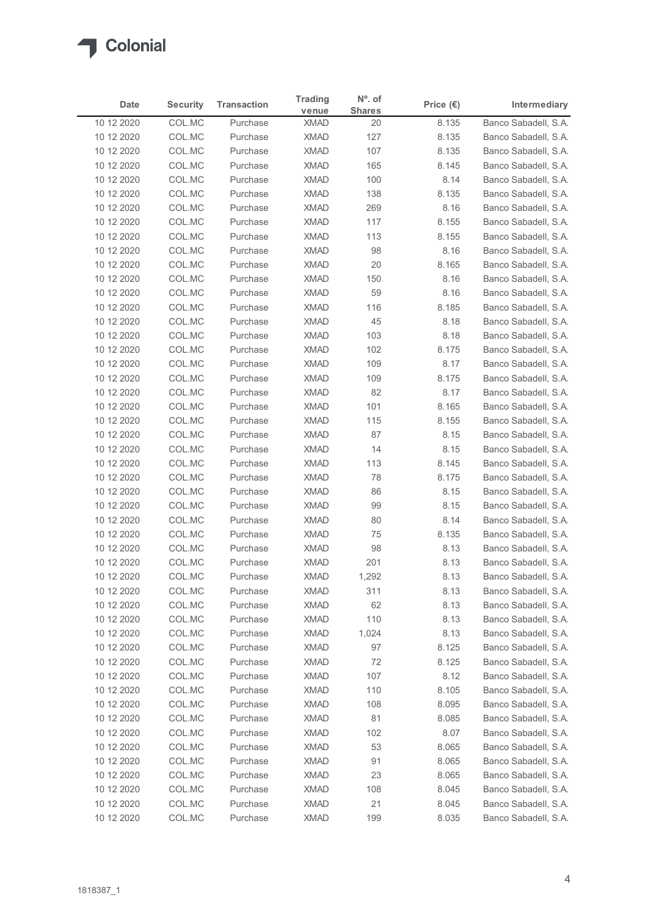

| <b>Date</b><br><b>Security</b><br><b>Transaction</b><br>Price $(\epsilon)$<br>Intermediary<br><b>Shares</b><br>venue<br>Banco Sabadell, S.A.<br>COL.MC<br>10 12 2020<br><b>XMAD</b><br>8.135<br>Purchase<br>20<br>COL.MC<br><b>XMAD</b><br>127<br>8.135<br>Banco Sabadell, S.A.<br>10 12 2020<br>Purchase<br>COL.MC<br><b>XMAD</b><br>107<br>8.135<br>10 12 2020<br>Purchase<br><b>XMAD</b><br>165<br>8.145<br>10 12 2020<br>COL.MC<br>Purchase<br>Banco Sabadell, S.A.<br>COL.MC<br><b>XMAD</b><br>100<br>Banco Sabadell, S.A.<br>10 12 2020<br>Purchase<br>8.14<br>COL.MC<br><b>XMAD</b><br>138<br>10 12 2020<br>Purchase<br>8.135<br>COL.MC<br><b>XMAD</b><br>269<br>Banco Sabadell, S.A.<br>10 12 2020<br>Purchase<br>8.16<br>COL.MC<br>117<br>10 12 2020<br>Purchase<br><b>XMAD</b><br>8.155<br>Banco Sabadell, S.A.<br>COL.MC<br><b>XMAD</b><br>113<br>Banco Sabadell, S.A.<br>10 12 2020<br>8.155<br>Purchase<br>COL.MC<br><b>XMAD</b><br>98<br>Banco Sabadell, S.A.<br>10 12 2020<br>Purchase<br>8.16<br>COL.MC<br><b>XMAD</b><br>Banco Sabadell, S.A.<br>10 12 2020<br>Purchase<br>20<br>8.165<br>COL.MC<br><b>XMAD</b><br>Banco Sabadell, S.A.<br>10 12 2020<br>Purchase<br>150<br>8.16<br><b>XMAD</b><br>59<br>10 12 2020<br>COL.MC<br>Purchase<br>8.16<br>Banco Sabadell, S.A.<br>10 12 2020<br>COL.MC<br>XMAD<br>116<br>8.185<br>Purchase<br>10 12 2020<br>COL.MC<br>XMAD<br>45<br>Banco Sabadell, S.A.<br>Purchase<br>8.18<br>COL.MC<br>XMAD<br>8.18<br>10 12 2020<br>Purchase<br>103<br>COL.MC<br>XMAD<br>8.175<br>10 12 2020<br>Purchase<br>102<br>COL.MC<br><b>XMAD</b><br>8.17<br>10 12 2020<br>Purchase<br>109<br>COL.MC<br><b>XMAD</b><br>8.175<br>10 12 2020<br>Purchase<br>109<br>82<br>8.17<br>10 12 2020<br>COL.MC<br>Purchase<br><b>XMAD</b><br><b>XMAD</b><br>8.165<br>10 12 2020<br>COL.MC<br>Purchase<br>101<br>COL.MC<br><b>XMAD</b><br>115<br>8.155<br>10 12 2020<br>Purchase<br><b>XMAD</b><br>87<br>10 12 2020<br>COL.MC<br>Purchase<br>8.15<br>XMAD<br>10 12 2020<br>COL.MC<br>Purchase<br>14<br>8.15<br>COL.MC<br><b>XMAD</b><br>113<br>10 12 2020<br>Purchase<br>8.145<br>COL.MC<br><b>XMAD</b><br>78<br>8.175<br>10 12 2020<br>Purchase<br><b>XMAD</b><br>86<br>10 12 2020<br>COL.MC<br>8.15<br>Purchase<br>COL.MC<br>XMAD<br>99<br>8.15<br>10 12 2020<br>Purchase<br>COL.MC<br><b>XMAD</b><br>80<br>8.14<br>10 12 2020<br>Purchase<br>COL.MC<br><b>XMAD</b><br>8.135<br>10 12 2020<br>Purchase<br>75<br>COL.MC<br><b>XMAD</b><br>98<br>8.13<br>10 12 2020<br>Purchase<br><b>XMAD</b><br>201<br>8.13<br>10 12 2020<br>COL.MC<br>Purchase<br><b>XMAD</b><br>10 12 2020<br>COL.MC<br>Purchase<br>1,292<br>8.13<br>COL.MC<br><b>XMAD</b><br>311<br>8.13<br>10 12 2020<br>Purchase<br>XMAD<br>62<br>8.13<br>10 12 2020<br>COL.MC<br>Purchase<br>10 12 2020<br>COL.MC<br>Purchase<br><b>XMAD</b><br>110<br>8.13<br>COL.MC<br><b>XMAD</b><br>8.13<br>10 12 2020<br>Purchase<br>1,024<br>COL.MC<br><b>XMAD</b><br>97<br>8.125<br>10 12 2020<br>Purchase<br>XMAD<br>72<br>8.125<br>COL.MC<br>Purchase<br>COL.MC<br><b>XMAD</b><br>107<br>8.12<br>Purchase<br>COL.MC<br><b>XMAD</b><br>110<br>8.105<br>Purchase<br><b>XMAD</b><br>8.095<br>COL.MC<br>Purchase<br>108<br>COL.MC<br><b>XMAD</b><br>81<br>Purchase<br>8.085<br>COL.MC<br><b>XMAD</b><br>102<br>8.07<br>Purchase<br>COL.MC<br>XMAD<br>53<br>8.065<br>Purchase<br>XMAD<br>8.065<br>10 12 2020<br>COL.MC<br>Purchase<br>91<br>COL.MC<br><b>XMAD</b><br>10 12 2020<br>Purchase<br>23<br>8.065<br>COL.MC<br><b>XMAD</b><br>8.045<br>10 12 2020<br>Purchase<br>108<br>COL.MC<br>21<br>Banco Sabadell, S.A.<br>10 12 2020<br>Purchase<br><b>XMAD</b><br>8.045 |            |  |                |           |  |
|------------------------------------------------------------------------------------------------------------------------------------------------------------------------------------------------------------------------------------------------------------------------------------------------------------------------------------------------------------------------------------------------------------------------------------------------------------------------------------------------------------------------------------------------------------------------------------------------------------------------------------------------------------------------------------------------------------------------------------------------------------------------------------------------------------------------------------------------------------------------------------------------------------------------------------------------------------------------------------------------------------------------------------------------------------------------------------------------------------------------------------------------------------------------------------------------------------------------------------------------------------------------------------------------------------------------------------------------------------------------------------------------------------------------------------------------------------------------------------------------------------------------------------------------------------------------------------------------------------------------------------------------------------------------------------------------------------------------------------------------------------------------------------------------------------------------------------------------------------------------------------------------------------------------------------------------------------------------------------------------------------------------------------------------------------------------------------------------------------------------------------------------------------------------------------------------------------------------------------------------------------------------------------------------------------------------------------------------------------------------------------------------------------------------------------------------------------------------------------------------------------------------------------------------------------------------------------------------------------------------------------------------------------------------------------------------------------------------------------------------------------------------------------------------------------------------------------------------------------------------------------------------------------------------------------------------------------------------------------------------------------------------------------------------------------------------------------------------------------------------------------------------------------------------------------------------------------------------------------------------------------------------------------------------------------------------------------------------------------------------------------------------------------------------------------------------------------------------------------------------------------------------------------------------------------------------------------------------------------------------------------------------|------------|--|----------------|-----------|--|
| Banco Sabadell, S.A.<br>Banco Sabadell, S.A.<br>Banco Sabadell, S.A.<br>Banco Sabadell, S.A.<br>Banco Sabadell, S.A.<br>Banco Sabadell, S.A.<br>Banco Sabadell, S.A.<br>Banco Sabadell, S.A.<br>Banco Sabadell, S.A.<br>Banco Sabadell, S.A.<br>Banco Sabadell, S.A.<br>Banco Sabadell, S.A.<br>Banco Sabadell, S.A.<br>Banco Sabadell, S.A.<br>Banco Sabadell, S.A.<br>Banco Sabadell, S.A.<br>Banco Sabadell, S.A.<br>Banco Sabadell, S.A.<br>Banco Sabadell, S.A.<br>Banco Sabadell, S.A.<br>Banco Sabadell, S.A.<br>Banco Sabadell, S.A.<br>Banco Sabadell, S.A.<br>Banco Sabadell, S.A.<br>Banco Sabadell, S.A.<br>Banco Sabadell, S.A.<br>Banco Sabadell, S.A.<br>Banco Sabadell, S.A.<br>Banco Sabadell, S.A.<br>Banco Sabadell, S.A.<br>Banco Sabadell, S.A.<br>Banco Sabadell, S.A.<br>Banco Sabadell, S.A.<br>Banco Sabadell, S.A.<br>Banco Sabadell, S.A.<br>Banco Sabadell, S.A.                                                                                                                                                                                                                                                                                                                                                                                                                                                                                                                                                                                                                                                                                                                                                                                                                                                                                                                                                                                                                                                                                                                                                                                                                                                                                                                                                                                                                                                                                                                                                                                                                                                                                                                                                                                                                                                                                                                                                                                                                                                                                                                                                                                                                                                                                                                                                                                                                                                                                                                                                                                                                                                                                                                                                   |            |  | <b>Trading</b> | $No$ . of |  |
|                                                                                                                                                                                                                                                                                                                                                                                                                                                                                                                                                                                                                                                                                                                                                                                                                                                                                                                                                                                                                                                                                                                                                                                                                                                                                                                                                                                                                                                                                                                                                                                                                                                                                                                                                                                                                                                                                                                                                                                                                                                                                                                                                                                                                                                                                                                                                                                                                                                                                                                                                                                                                                                                                                                                                                                                                                                                                                                                                                                                                                                                                                                                                                                                                                                                                                                                                                                                                                                                                                                                                                                                                                                |            |  |                |           |  |
|                                                                                                                                                                                                                                                                                                                                                                                                                                                                                                                                                                                                                                                                                                                                                                                                                                                                                                                                                                                                                                                                                                                                                                                                                                                                                                                                                                                                                                                                                                                                                                                                                                                                                                                                                                                                                                                                                                                                                                                                                                                                                                                                                                                                                                                                                                                                                                                                                                                                                                                                                                                                                                                                                                                                                                                                                                                                                                                                                                                                                                                                                                                                                                                                                                                                                                                                                                                                                                                                                                                                                                                                                                                |            |  |                |           |  |
|                                                                                                                                                                                                                                                                                                                                                                                                                                                                                                                                                                                                                                                                                                                                                                                                                                                                                                                                                                                                                                                                                                                                                                                                                                                                                                                                                                                                                                                                                                                                                                                                                                                                                                                                                                                                                                                                                                                                                                                                                                                                                                                                                                                                                                                                                                                                                                                                                                                                                                                                                                                                                                                                                                                                                                                                                                                                                                                                                                                                                                                                                                                                                                                                                                                                                                                                                                                                                                                                                                                                                                                                                                                |            |  |                |           |  |
|                                                                                                                                                                                                                                                                                                                                                                                                                                                                                                                                                                                                                                                                                                                                                                                                                                                                                                                                                                                                                                                                                                                                                                                                                                                                                                                                                                                                                                                                                                                                                                                                                                                                                                                                                                                                                                                                                                                                                                                                                                                                                                                                                                                                                                                                                                                                                                                                                                                                                                                                                                                                                                                                                                                                                                                                                                                                                                                                                                                                                                                                                                                                                                                                                                                                                                                                                                                                                                                                                                                                                                                                                                                |            |  |                |           |  |
|                                                                                                                                                                                                                                                                                                                                                                                                                                                                                                                                                                                                                                                                                                                                                                                                                                                                                                                                                                                                                                                                                                                                                                                                                                                                                                                                                                                                                                                                                                                                                                                                                                                                                                                                                                                                                                                                                                                                                                                                                                                                                                                                                                                                                                                                                                                                                                                                                                                                                                                                                                                                                                                                                                                                                                                                                                                                                                                                                                                                                                                                                                                                                                                                                                                                                                                                                                                                                                                                                                                                                                                                                                                |            |  |                |           |  |
|                                                                                                                                                                                                                                                                                                                                                                                                                                                                                                                                                                                                                                                                                                                                                                                                                                                                                                                                                                                                                                                                                                                                                                                                                                                                                                                                                                                                                                                                                                                                                                                                                                                                                                                                                                                                                                                                                                                                                                                                                                                                                                                                                                                                                                                                                                                                                                                                                                                                                                                                                                                                                                                                                                                                                                                                                                                                                                                                                                                                                                                                                                                                                                                                                                                                                                                                                                                                                                                                                                                                                                                                                                                |            |  |                |           |  |
|                                                                                                                                                                                                                                                                                                                                                                                                                                                                                                                                                                                                                                                                                                                                                                                                                                                                                                                                                                                                                                                                                                                                                                                                                                                                                                                                                                                                                                                                                                                                                                                                                                                                                                                                                                                                                                                                                                                                                                                                                                                                                                                                                                                                                                                                                                                                                                                                                                                                                                                                                                                                                                                                                                                                                                                                                                                                                                                                                                                                                                                                                                                                                                                                                                                                                                                                                                                                                                                                                                                                                                                                                                                |            |  |                |           |  |
|                                                                                                                                                                                                                                                                                                                                                                                                                                                                                                                                                                                                                                                                                                                                                                                                                                                                                                                                                                                                                                                                                                                                                                                                                                                                                                                                                                                                                                                                                                                                                                                                                                                                                                                                                                                                                                                                                                                                                                                                                                                                                                                                                                                                                                                                                                                                                                                                                                                                                                                                                                                                                                                                                                                                                                                                                                                                                                                                                                                                                                                                                                                                                                                                                                                                                                                                                                                                                                                                                                                                                                                                                                                |            |  |                |           |  |
|                                                                                                                                                                                                                                                                                                                                                                                                                                                                                                                                                                                                                                                                                                                                                                                                                                                                                                                                                                                                                                                                                                                                                                                                                                                                                                                                                                                                                                                                                                                                                                                                                                                                                                                                                                                                                                                                                                                                                                                                                                                                                                                                                                                                                                                                                                                                                                                                                                                                                                                                                                                                                                                                                                                                                                                                                                                                                                                                                                                                                                                                                                                                                                                                                                                                                                                                                                                                                                                                                                                                                                                                                                                |            |  |                |           |  |
|                                                                                                                                                                                                                                                                                                                                                                                                                                                                                                                                                                                                                                                                                                                                                                                                                                                                                                                                                                                                                                                                                                                                                                                                                                                                                                                                                                                                                                                                                                                                                                                                                                                                                                                                                                                                                                                                                                                                                                                                                                                                                                                                                                                                                                                                                                                                                                                                                                                                                                                                                                                                                                                                                                                                                                                                                                                                                                                                                                                                                                                                                                                                                                                                                                                                                                                                                                                                                                                                                                                                                                                                                                                |            |  |                |           |  |
|                                                                                                                                                                                                                                                                                                                                                                                                                                                                                                                                                                                                                                                                                                                                                                                                                                                                                                                                                                                                                                                                                                                                                                                                                                                                                                                                                                                                                                                                                                                                                                                                                                                                                                                                                                                                                                                                                                                                                                                                                                                                                                                                                                                                                                                                                                                                                                                                                                                                                                                                                                                                                                                                                                                                                                                                                                                                                                                                                                                                                                                                                                                                                                                                                                                                                                                                                                                                                                                                                                                                                                                                                                                |            |  |                |           |  |
|                                                                                                                                                                                                                                                                                                                                                                                                                                                                                                                                                                                                                                                                                                                                                                                                                                                                                                                                                                                                                                                                                                                                                                                                                                                                                                                                                                                                                                                                                                                                                                                                                                                                                                                                                                                                                                                                                                                                                                                                                                                                                                                                                                                                                                                                                                                                                                                                                                                                                                                                                                                                                                                                                                                                                                                                                                                                                                                                                                                                                                                                                                                                                                                                                                                                                                                                                                                                                                                                                                                                                                                                                                                |            |  |                |           |  |
|                                                                                                                                                                                                                                                                                                                                                                                                                                                                                                                                                                                                                                                                                                                                                                                                                                                                                                                                                                                                                                                                                                                                                                                                                                                                                                                                                                                                                                                                                                                                                                                                                                                                                                                                                                                                                                                                                                                                                                                                                                                                                                                                                                                                                                                                                                                                                                                                                                                                                                                                                                                                                                                                                                                                                                                                                                                                                                                                                                                                                                                                                                                                                                                                                                                                                                                                                                                                                                                                                                                                                                                                                                                |            |  |                |           |  |
|                                                                                                                                                                                                                                                                                                                                                                                                                                                                                                                                                                                                                                                                                                                                                                                                                                                                                                                                                                                                                                                                                                                                                                                                                                                                                                                                                                                                                                                                                                                                                                                                                                                                                                                                                                                                                                                                                                                                                                                                                                                                                                                                                                                                                                                                                                                                                                                                                                                                                                                                                                                                                                                                                                                                                                                                                                                                                                                                                                                                                                                                                                                                                                                                                                                                                                                                                                                                                                                                                                                                                                                                                                                |            |  |                |           |  |
|                                                                                                                                                                                                                                                                                                                                                                                                                                                                                                                                                                                                                                                                                                                                                                                                                                                                                                                                                                                                                                                                                                                                                                                                                                                                                                                                                                                                                                                                                                                                                                                                                                                                                                                                                                                                                                                                                                                                                                                                                                                                                                                                                                                                                                                                                                                                                                                                                                                                                                                                                                                                                                                                                                                                                                                                                                                                                                                                                                                                                                                                                                                                                                                                                                                                                                                                                                                                                                                                                                                                                                                                                                                |            |  |                |           |  |
|                                                                                                                                                                                                                                                                                                                                                                                                                                                                                                                                                                                                                                                                                                                                                                                                                                                                                                                                                                                                                                                                                                                                                                                                                                                                                                                                                                                                                                                                                                                                                                                                                                                                                                                                                                                                                                                                                                                                                                                                                                                                                                                                                                                                                                                                                                                                                                                                                                                                                                                                                                                                                                                                                                                                                                                                                                                                                                                                                                                                                                                                                                                                                                                                                                                                                                                                                                                                                                                                                                                                                                                                                                                |            |  |                |           |  |
|                                                                                                                                                                                                                                                                                                                                                                                                                                                                                                                                                                                                                                                                                                                                                                                                                                                                                                                                                                                                                                                                                                                                                                                                                                                                                                                                                                                                                                                                                                                                                                                                                                                                                                                                                                                                                                                                                                                                                                                                                                                                                                                                                                                                                                                                                                                                                                                                                                                                                                                                                                                                                                                                                                                                                                                                                                                                                                                                                                                                                                                                                                                                                                                                                                                                                                                                                                                                                                                                                                                                                                                                                                                |            |  |                |           |  |
|                                                                                                                                                                                                                                                                                                                                                                                                                                                                                                                                                                                                                                                                                                                                                                                                                                                                                                                                                                                                                                                                                                                                                                                                                                                                                                                                                                                                                                                                                                                                                                                                                                                                                                                                                                                                                                                                                                                                                                                                                                                                                                                                                                                                                                                                                                                                                                                                                                                                                                                                                                                                                                                                                                                                                                                                                                                                                                                                                                                                                                                                                                                                                                                                                                                                                                                                                                                                                                                                                                                                                                                                                                                |            |  |                |           |  |
|                                                                                                                                                                                                                                                                                                                                                                                                                                                                                                                                                                                                                                                                                                                                                                                                                                                                                                                                                                                                                                                                                                                                                                                                                                                                                                                                                                                                                                                                                                                                                                                                                                                                                                                                                                                                                                                                                                                                                                                                                                                                                                                                                                                                                                                                                                                                                                                                                                                                                                                                                                                                                                                                                                                                                                                                                                                                                                                                                                                                                                                                                                                                                                                                                                                                                                                                                                                                                                                                                                                                                                                                                                                |            |  |                |           |  |
|                                                                                                                                                                                                                                                                                                                                                                                                                                                                                                                                                                                                                                                                                                                                                                                                                                                                                                                                                                                                                                                                                                                                                                                                                                                                                                                                                                                                                                                                                                                                                                                                                                                                                                                                                                                                                                                                                                                                                                                                                                                                                                                                                                                                                                                                                                                                                                                                                                                                                                                                                                                                                                                                                                                                                                                                                                                                                                                                                                                                                                                                                                                                                                                                                                                                                                                                                                                                                                                                                                                                                                                                                                                |            |  |                |           |  |
|                                                                                                                                                                                                                                                                                                                                                                                                                                                                                                                                                                                                                                                                                                                                                                                                                                                                                                                                                                                                                                                                                                                                                                                                                                                                                                                                                                                                                                                                                                                                                                                                                                                                                                                                                                                                                                                                                                                                                                                                                                                                                                                                                                                                                                                                                                                                                                                                                                                                                                                                                                                                                                                                                                                                                                                                                                                                                                                                                                                                                                                                                                                                                                                                                                                                                                                                                                                                                                                                                                                                                                                                                                                |            |  |                |           |  |
|                                                                                                                                                                                                                                                                                                                                                                                                                                                                                                                                                                                                                                                                                                                                                                                                                                                                                                                                                                                                                                                                                                                                                                                                                                                                                                                                                                                                                                                                                                                                                                                                                                                                                                                                                                                                                                                                                                                                                                                                                                                                                                                                                                                                                                                                                                                                                                                                                                                                                                                                                                                                                                                                                                                                                                                                                                                                                                                                                                                                                                                                                                                                                                                                                                                                                                                                                                                                                                                                                                                                                                                                                                                |            |  |                |           |  |
|                                                                                                                                                                                                                                                                                                                                                                                                                                                                                                                                                                                                                                                                                                                                                                                                                                                                                                                                                                                                                                                                                                                                                                                                                                                                                                                                                                                                                                                                                                                                                                                                                                                                                                                                                                                                                                                                                                                                                                                                                                                                                                                                                                                                                                                                                                                                                                                                                                                                                                                                                                                                                                                                                                                                                                                                                                                                                                                                                                                                                                                                                                                                                                                                                                                                                                                                                                                                                                                                                                                                                                                                                                                |            |  |                |           |  |
|                                                                                                                                                                                                                                                                                                                                                                                                                                                                                                                                                                                                                                                                                                                                                                                                                                                                                                                                                                                                                                                                                                                                                                                                                                                                                                                                                                                                                                                                                                                                                                                                                                                                                                                                                                                                                                                                                                                                                                                                                                                                                                                                                                                                                                                                                                                                                                                                                                                                                                                                                                                                                                                                                                                                                                                                                                                                                                                                                                                                                                                                                                                                                                                                                                                                                                                                                                                                                                                                                                                                                                                                                                                |            |  |                |           |  |
|                                                                                                                                                                                                                                                                                                                                                                                                                                                                                                                                                                                                                                                                                                                                                                                                                                                                                                                                                                                                                                                                                                                                                                                                                                                                                                                                                                                                                                                                                                                                                                                                                                                                                                                                                                                                                                                                                                                                                                                                                                                                                                                                                                                                                                                                                                                                                                                                                                                                                                                                                                                                                                                                                                                                                                                                                                                                                                                                                                                                                                                                                                                                                                                                                                                                                                                                                                                                                                                                                                                                                                                                                                                |            |  |                |           |  |
|                                                                                                                                                                                                                                                                                                                                                                                                                                                                                                                                                                                                                                                                                                                                                                                                                                                                                                                                                                                                                                                                                                                                                                                                                                                                                                                                                                                                                                                                                                                                                                                                                                                                                                                                                                                                                                                                                                                                                                                                                                                                                                                                                                                                                                                                                                                                                                                                                                                                                                                                                                                                                                                                                                                                                                                                                                                                                                                                                                                                                                                                                                                                                                                                                                                                                                                                                                                                                                                                                                                                                                                                                                                |            |  |                |           |  |
|                                                                                                                                                                                                                                                                                                                                                                                                                                                                                                                                                                                                                                                                                                                                                                                                                                                                                                                                                                                                                                                                                                                                                                                                                                                                                                                                                                                                                                                                                                                                                                                                                                                                                                                                                                                                                                                                                                                                                                                                                                                                                                                                                                                                                                                                                                                                                                                                                                                                                                                                                                                                                                                                                                                                                                                                                                                                                                                                                                                                                                                                                                                                                                                                                                                                                                                                                                                                                                                                                                                                                                                                                                                |            |  |                |           |  |
|                                                                                                                                                                                                                                                                                                                                                                                                                                                                                                                                                                                                                                                                                                                                                                                                                                                                                                                                                                                                                                                                                                                                                                                                                                                                                                                                                                                                                                                                                                                                                                                                                                                                                                                                                                                                                                                                                                                                                                                                                                                                                                                                                                                                                                                                                                                                                                                                                                                                                                                                                                                                                                                                                                                                                                                                                                                                                                                                                                                                                                                                                                                                                                                                                                                                                                                                                                                                                                                                                                                                                                                                                                                |            |  |                |           |  |
|                                                                                                                                                                                                                                                                                                                                                                                                                                                                                                                                                                                                                                                                                                                                                                                                                                                                                                                                                                                                                                                                                                                                                                                                                                                                                                                                                                                                                                                                                                                                                                                                                                                                                                                                                                                                                                                                                                                                                                                                                                                                                                                                                                                                                                                                                                                                                                                                                                                                                                                                                                                                                                                                                                                                                                                                                                                                                                                                                                                                                                                                                                                                                                                                                                                                                                                                                                                                                                                                                                                                                                                                                                                |            |  |                |           |  |
|                                                                                                                                                                                                                                                                                                                                                                                                                                                                                                                                                                                                                                                                                                                                                                                                                                                                                                                                                                                                                                                                                                                                                                                                                                                                                                                                                                                                                                                                                                                                                                                                                                                                                                                                                                                                                                                                                                                                                                                                                                                                                                                                                                                                                                                                                                                                                                                                                                                                                                                                                                                                                                                                                                                                                                                                                                                                                                                                                                                                                                                                                                                                                                                                                                                                                                                                                                                                                                                                                                                                                                                                                                                |            |  |                |           |  |
|                                                                                                                                                                                                                                                                                                                                                                                                                                                                                                                                                                                                                                                                                                                                                                                                                                                                                                                                                                                                                                                                                                                                                                                                                                                                                                                                                                                                                                                                                                                                                                                                                                                                                                                                                                                                                                                                                                                                                                                                                                                                                                                                                                                                                                                                                                                                                                                                                                                                                                                                                                                                                                                                                                                                                                                                                                                                                                                                                                                                                                                                                                                                                                                                                                                                                                                                                                                                                                                                                                                                                                                                                                                |            |  |                |           |  |
|                                                                                                                                                                                                                                                                                                                                                                                                                                                                                                                                                                                                                                                                                                                                                                                                                                                                                                                                                                                                                                                                                                                                                                                                                                                                                                                                                                                                                                                                                                                                                                                                                                                                                                                                                                                                                                                                                                                                                                                                                                                                                                                                                                                                                                                                                                                                                                                                                                                                                                                                                                                                                                                                                                                                                                                                                                                                                                                                                                                                                                                                                                                                                                                                                                                                                                                                                                                                                                                                                                                                                                                                                                                |            |  |                |           |  |
|                                                                                                                                                                                                                                                                                                                                                                                                                                                                                                                                                                                                                                                                                                                                                                                                                                                                                                                                                                                                                                                                                                                                                                                                                                                                                                                                                                                                                                                                                                                                                                                                                                                                                                                                                                                                                                                                                                                                                                                                                                                                                                                                                                                                                                                                                                                                                                                                                                                                                                                                                                                                                                                                                                                                                                                                                                                                                                                                                                                                                                                                                                                                                                                                                                                                                                                                                                                                                                                                                                                                                                                                                                                |            |  |                |           |  |
|                                                                                                                                                                                                                                                                                                                                                                                                                                                                                                                                                                                                                                                                                                                                                                                                                                                                                                                                                                                                                                                                                                                                                                                                                                                                                                                                                                                                                                                                                                                                                                                                                                                                                                                                                                                                                                                                                                                                                                                                                                                                                                                                                                                                                                                                                                                                                                                                                                                                                                                                                                                                                                                                                                                                                                                                                                                                                                                                                                                                                                                                                                                                                                                                                                                                                                                                                                                                                                                                                                                                                                                                                                                |            |  |                |           |  |
|                                                                                                                                                                                                                                                                                                                                                                                                                                                                                                                                                                                                                                                                                                                                                                                                                                                                                                                                                                                                                                                                                                                                                                                                                                                                                                                                                                                                                                                                                                                                                                                                                                                                                                                                                                                                                                                                                                                                                                                                                                                                                                                                                                                                                                                                                                                                                                                                                                                                                                                                                                                                                                                                                                                                                                                                                                                                                                                                                                                                                                                                                                                                                                                                                                                                                                                                                                                                                                                                                                                                                                                                                                                | 10 12 2020 |  |                |           |  |
|                                                                                                                                                                                                                                                                                                                                                                                                                                                                                                                                                                                                                                                                                                                                                                                                                                                                                                                                                                                                                                                                                                                                                                                                                                                                                                                                                                                                                                                                                                                                                                                                                                                                                                                                                                                                                                                                                                                                                                                                                                                                                                                                                                                                                                                                                                                                                                                                                                                                                                                                                                                                                                                                                                                                                                                                                                                                                                                                                                                                                                                                                                                                                                                                                                                                                                                                                                                                                                                                                                                                                                                                                                                | 10 12 2020 |  |                |           |  |
|                                                                                                                                                                                                                                                                                                                                                                                                                                                                                                                                                                                                                                                                                                                                                                                                                                                                                                                                                                                                                                                                                                                                                                                                                                                                                                                                                                                                                                                                                                                                                                                                                                                                                                                                                                                                                                                                                                                                                                                                                                                                                                                                                                                                                                                                                                                                                                                                                                                                                                                                                                                                                                                                                                                                                                                                                                                                                                                                                                                                                                                                                                                                                                                                                                                                                                                                                                                                                                                                                                                                                                                                                                                | 10 12 2020 |  |                |           |  |
|                                                                                                                                                                                                                                                                                                                                                                                                                                                                                                                                                                                                                                                                                                                                                                                                                                                                                                                                                                                                                                                                                                                                                                                                                                                                                                                                                                                                                                                                                                                                                                                                                                                                                                                                                                                                                                                                                                                                                                                                                                                                                                                                                                                                                                                                                                                                                                                                                                                                                                                                                                                                                                                                                                                                                                                                                                                                                                                                                                                                                                                                                                                                                                                                                                                                                                                                                                                                                                                                                                                                                                                                                                                | 10 12 2020 |  |                |           |  |
|                                                                                                                                                                                                                                                                                                                                                                                                                                                                                                                                                                                                                                                                                                                                                                                                                                                                                                                                                                                                                                                                                                                                                                                                                                                                                                                                                                                                                                                                                                                                                                                                                                                                                                                                                                                                                                                                                                                                                                                                                                                                                                                                                                                                                                                                                                                                                                                                                                                                                                                                                                                                                                                                                                                                                                                                                                                                                                                                                                                                                                                                                                                                                                                                                                                                                                                                                                                                                                                                                                                                                                                                                                                | 10 12 2020 |  |                |           |  |
|                                                                                                                                                                                                                                                                                                                                                                                                                                                                                                                                                                                                                                                                                                                                                                                                                                                                                                                                                                                                                                                                                                                                                                                                                                                                                                                                                                                                                                                                                                                                                                                                                                                                                                                                                                                                                                                                                                                                                                                                                                                                                                                                                                                                                                                                                                                                                                                                                                                                                                                                                                                                                                                                                                                                                                                                                                                                                                                                                                                                                                                                                                                                                                                                                                                                                                                                                                                                                                                                                                                                                                                                                                                | 10 12 2020 |  |                |           |  |
|                                                                                                                                                                                                                                                                                                                                                                                                                                                                                                                                                                                                                                                                                                                                                                                                                                                                                                                                                                                                                                                                                                                                                                                                                                                                                                                                                                                                                                                                                                                                                                                                                                                                                                                                                                                                                                                                                                                                                                                                                                                                                                                                                                                                                                                                                                                                                                                                                                                                                                                                                                                                                                                                                                                                                                                                                                                                                                                                                                                                                                                                                                                                                                                                                                                                                                                                                                                                                                                                                                                                                                                                                                                | 10 12 2020 |  |                |           |  |
|                                                                                                                                                                                                                                                                                                                                                                                                                                                                                                                                                                                                                                                                                                                                                                                                                                                                                                                                                                                                                                                                                                                                                                                                                                                                                                                                                                                                                                                                                                                                                                                                                                                                                                                                                                                                                                                                                                                                                                                                                                                                                                                                                                                                                                                                                                                                                                                                                                                                                                                                                                                                                                                                                                                                                                                                                                                                                                                                                                                                                                                                                                                                                                                                                                                                                                                                                                                                                                                                                                                                                                                                                                                |            |  |                |           |  |
|                                                                                                                                                                                                                                                                                                                                                                                                                                                                                                                                                                                                                                                                                                                                                                                                                                                                                                                                                                                                                                                                                                                                                                                                                                                                                                                                                                                                                                                                                                                                                                                                                                                                                                                                                                                                                                                                                                                                                                                                                                                                                                                                                                                                                                                                                                                                                                                                                                                                                                                                                                                                                                                                                                                                                                                                                                                                                                                                                                                                                                                                                                                                                                                                                                                                                                                                                                                                                                                                                                                                                                                                                                                |            |  |                |           |  |
|                                                                                                                                                                                                                                                                                                                                                                                                                                                                                                                                                                                                                                                                                                                                                                                                                                                                                                                                                                                                                                                                                                                                                                                                                                                                                                                                                                                                                                                                                                                                                                                                                                                                                                                                                                                                                                                                                                                                                                                                                                                                                                                                                                                                                                                                                                                                                                                                                                                                                                                                                                                                                                                                                                                                                                                                                                                                                                                                                                                                                                                                                                                                                                                                                                                                                                                                                                                                                                                                                                                                                                                                                                                |            |  |                |           |  |
| COL.MC<br>XMAD<br>199<br>8.035<br>Banco Sabadell, S.A.<br>Purchase                                                                                                                                                                                                                                                                                                                                                                                                                                                                                                                                                                                                                                                                                                                                                                                                                                                                                                                                                                                                                                                                                                                                                                                                                                                                                                                                                                                                                                                                                                                                                                                                                                                                                                                                                                                                                                                                                                                                                                                                                                                                                                                                                                                                                                                                                                                                                                                                                                                                                                                                                                                                                                                                                                                                                                                                                                                                                                                                                                                                                                                                                                                                                                                                                                                                                                                                                                                                                                                                                                                                                                             | 10 12 2020 |  |                |           |  |
|                                                                                                                                                                                                                                                                                                                                                                                                                                                                                                                                                                                                                                                                                                                                                                                                                                                                                                                                                                                                                                                                                                                                                                                                                                                                                                                                                                                                                                                                                                                                                                                                                                                                                                                                                                                                                                                                                                                                                                                                                                                                                                                                                                                                                                                                                                                                                                                                                                                                                                                                                                                                                                                                                                                                                                                                                                                                                                                                                                                                                                                                                                                                                                                                                                                                                                                                                                                                                                                                                                                                                                                                                                                |            |  |                |           |  |
| 4                                                                                                                                                                                                                                                                                                                                                                                                                                                                                                                                                                                                                                                                                                                                                                                                                                                                                                                                                                                                                                                                                                                                                                                                                                                                                                                                                                                                                                                                                                                                                                                                                                                                                                                                                                                                                                                                                                                                                                                                                                                                                                                                                                                                                                                                                                                                                                                                                                                                                                                                                                                                                                                                                                                                                                                                                                                                                                                                                                                                                                                                                                                                                                                                                                                                                                                                                                                                                                                                                                                                                                                                                                              |            |  |                |           |  |